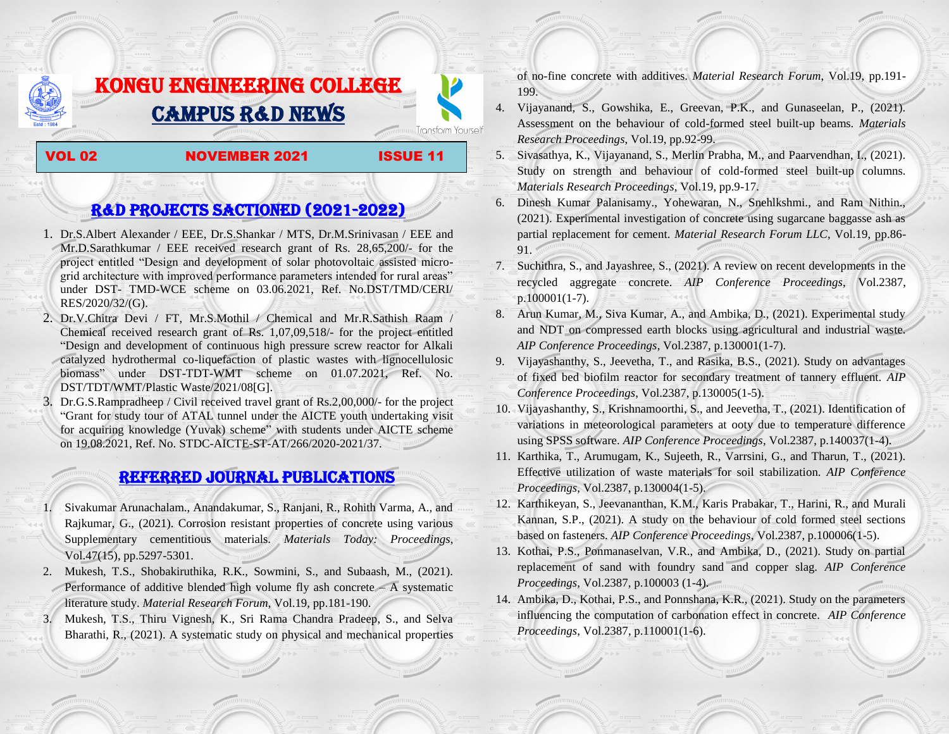## KONGU ENGINEERING COLLEGE CAMPUS R&D NEWS

## VOL 02 **NOVEMBER 2021** ISSUE 11

Transform Yourself

## R&D PROJECTS SACTIONED (2021-2022)

- 1. Dr.S.Albert Alexander / EEE, Dr.S.Shankar / MTS, Dr.M.Srinivasan / EEE and Mr.D.Sarathkumar / EEE received research grant of Rs. 28,65,200/- for the project entitled "Design and development of solar photovoltaic assisted microgrid architecture with improved performance parameters intended for rural areas" under DST- TMD-WCE scheme on 03.06.2021, Ref. No.DST/TMD/CERI/ RES/2020/32/(G).
- 2. Dr.V.Chitra Devi / FT, Mr.S.Mothil / Chemical and Mr.R.Sathish Raam / Chemical received research grant of Rs. 1,07,09,518/- for the project entitled "Design and development of continuous high pressure screw reactor for Alkali catalyzed hydrothermal co-liquefaction of plastic wastes with lignocellulosic biomass" under DST-TDT-WMT scheme on 01.07.2021, Ref. No. DST/TDT/WMT/Plastic Waste/2021/08[G].
- 3. Dr.G.S.Rampradheep / Civil received travel grant of Rs.2,00,000/- for the project "Grant for study tour of ATAL tunnel under the AICTE youth undertaking visit for acquiring knowledge (Yuvak) scheme" with students under AICTE scheme on 19.08.2021, Ref. No. STDC-AICTE-ST-AT/266/2020-2021/37.

## Referred JOURNAL publications

- 1. Sivakumar Arunachalam., Anandakumar, S., Ranjani, R., Rohith Varma, A., and Rajkumar, G., (2021). Corrosion resistant properties of concrete using various Supplementary cementitious materials. *Materials Today: Proceedings*, Vol.47(15), pp.5297-5301.
- 2. Mukesh, T.S., Shobakiruthika, R.K., Sowmini, S., and Subaash, M., (2021). Performance of additive blended high volume fly ash concrete  $-A$  systematic literature study. *Material Research Forum*, Vol.19, pp.181-190.
- 3. Mukesh, T.S., Thiru Vignesh, K., Sri Rama Chandra Pradeep, S., and Selva Bharathi, R., (2021). A systematic study on physical and mechanical properties

of no-fine concrete with additives. *Material Research Forum*, Vol.19, pp.191- 199.

- 4. Vijayanand, S., Gowshika, E., Greevan, P.K., and Gunaseelan, P., (2021). Assessment on the behaviour of cold-formed steel built-up beams. *Materials Research Proceedings*, Vol.19, pp.92-99.
- 5. Sivasathya, K., Vijayanand, S., Merlin Prabha, M., and Paarvendhan, I., (2021). Study on strength and behaviour of cold-formed steel built-up columns. *Materials Research Proceedings*, Vol.19, pp.9-17.
- 6. Dinesh Kumar Palanisamy., Yohewaran, N., Snehlkshmi., and Ram Nithin., (2021). Experimental investigation of concrete using sugarcane baggasse ash as partial replacement for cement. *Material Research Forum LLC*, Vol.19, pp.86- 91.
- 7. Suchithra, S., and Jayashree, S., (2021). A review on recent developments in the recycled aggregate concrete. *AIP Conference Proceedings*, Vol.2387, p.100001(1-7).
- 8. Arun Kumar, M., Siva Kumar, A., and Ambika, D., (2021). Experimental study and NDT on compressed earth blocks using agricultural and industrial waste. *AIP Conference Proceedings*, Vol.2387, p.130001(1-7).
- 9. Vijayashanthy, S., Jeevetha, T., and Rasika, B.S., (2021). Study on advantages of fixed bed biofilm reactor for secondary treatment of tannery effluent. *AIP Conference Proceedings*, Vol.2387, p.130005(1-5).
- 10. Vijayashanthy, S., Krishnamoorthi, S., and Jeevetha, T., (2021). Identification of variations in meteorological parameters at ooty due to temperature difference using SPSS software. *AIP Conference Proceedings*, Vol.2387, p.140037(1-4).
- 11. Karthika, T., Arumugam, K., Sujeeth, R., Varrsini, G., and Tharun, T., (2021). Effective utilization of waste materials for soil stabilization. *AIP Conference Proceedings*, Vol.2387, p.130004(1-5).
- 12. Karthikeyan, S., Jeevananthan, K.M., Karis Prabakar, T., Harini, R., and Murali Kannan, S.P., (2021). A study on the behaviour of cold formed steel sections based on fasteners. *AIP Conference Proceedings*, Vol.2387, p.100006(1-5).
- 13. Kothai, P.S., Ponmanaselvan, V.R., and Ambika, D., (2021). Study on partial replacement of sand with foundry sand and copper slag. *AIP Conference Proceedings*, Vol.2387, p.100003 (1-4).
- 14. Ambika, D., Kothai, P.S., and Ponnshana, K.R., (2021). Study on the parameters influencing the computation of carbonation effect in concrete. *AIP Conference Proceedings*, Vol.2387, p.110001(1-6).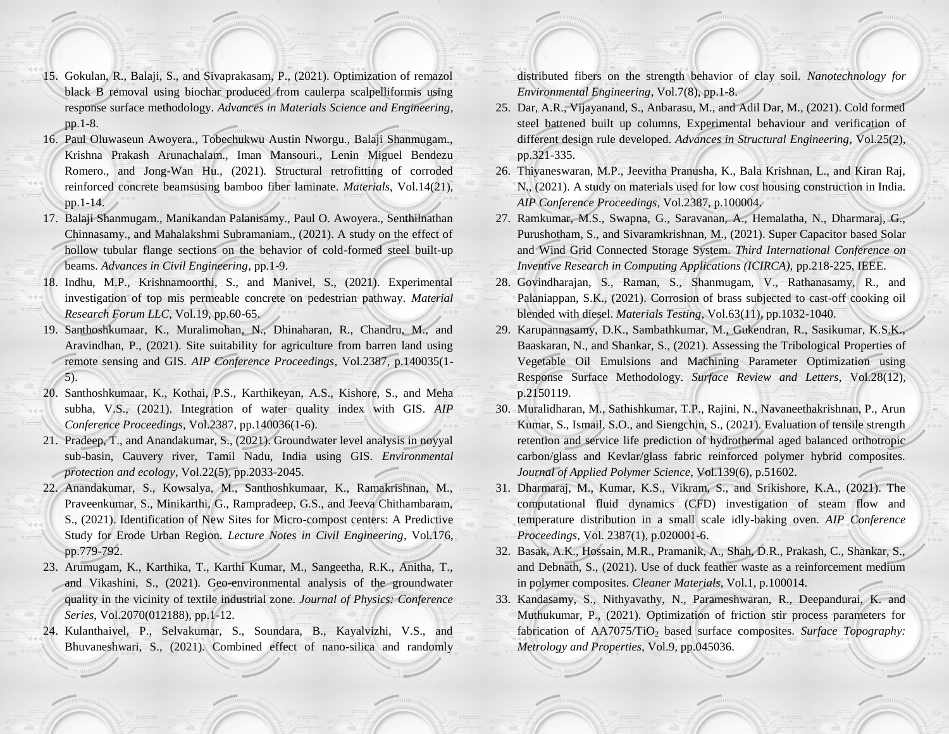- 15. Gokulan, R., Balaji, S., and Sivaprakasam, P., (2021). Optimization of remazol black B removal using biochar produced from caulerpa scalpelliformis using response surface methodology. *Advances in Materials Science and Engineering*, pp.1-8.
- 16. Paul Oluwaseun Awoyera., Tobechukwu Austin Nworgu., Balaji Shanmugam., Krishna Prakash Arunachalam., Iman Mansouri., Lenin Miguel Bendezu Romero., and Jong-Wan Hu., (2021). Structural retrofitting of corroded reinforced concrete beamsusing bamboo fiber laminate. *Materials*, Vol.14(21), pp.1-14.
- 17. Balaji Shanmugam., Manikandan Palanisamy., Paul O. Awoyera., Senthilnathan Chinnasamy., and Mahalakshmi Subramaniam., (2021). A study on the effect of hollow tubular flange sections on the behavior of cold-formed steel built-up beams. *Advances in Civil Engineering*, pp.1-9.
- 18. Indhu, M.P., Krishnamoorthi, S., and Manivel, S., (2021). Experimental investigation of top mis permeable concrete on pedestrian pathway. *Material Research Forum LLC*, Vol.19, pp.60-65.
- 19. Santhoshkumaar, K., Muralimohan, N., Dhinaharan, R., Chandru, M., and Aravindhan, P., (2021). Site suitability for agriculture from barren land using remote sensing and GIS. *AIP Conference Proceedings*, Vol.2387, p.140035(1- 5).
- 20. Santhoshkumaar, K., Kothai, P.S., Karthikeyan, A.S., Kishore, S., and Meha subha, V.S., (2021). Integration of water quality index with GIS. *AIP Conference Proceedings*, Vol.2387, pp.140036(1-6).
- 21. Pradeep, T., and Anandakumar, S., (2021). Groundwater level analysis in noyyal sub-basin, Cauvery river, Tamil Nadu, India using GIS. *Environmental protection and ecology*, Vol.22(5), pp.2033-2045.
- 22. Anandakumar, S., Kowsalya, M., Santhoshkumaar, K., Ramakrishnan, M., Praveenkumar, S., Minikarthi, G., Rampradeep, G.S., and Jeeva Chithambaram, S., (2021). Identification of New Sites for Micro-compost centers: A Predictive Study for Erode Urban Region. *Lecture Notes in Civil Engineering*, Vol.176, pp.779-792.
- 23. Arumugam, K., Karthika, T., Karthi Kumar, M., Sangeetha, R.K., Anitha, T., and Vikashini, S., (2021). Geo-environmental analysis of the groundwater quality in the vicinity of textile industrial zone. *Journal of Physics: Conference Series*, Vol.2070(012188), pp.1-12.
- 24. Kulanthaivel, P., Selvakumar, S., Soundara, B., Kayalvizhi, V.S., and Bhuvaneshwari, S., (2021). Combined effect of nano-silica and randomly

distributed fibers on the strength behavior of clay soil. *Nanotechnology for Environmental Engineering*, Vol.7(8), pp.1-8.

- 25. Dar, A.R., Vijayanand, S., Anbarasu, M., and Adil Dar, M., (2021). Cold formed steel battened built up columns, Experimental behaviour and verification of different design rule developed. *Advances in Structural Engineering*, Vol.25(2), pp.321-335.
- 26. Thiyaneswaran, M.P., Jeevitha Pranusha, K., Bala Krishnan, L., and Kiran Raj, N., (2021). A study on materials used for low cost housing construction in India. *AIP Conference Proceedings*, Vol.2387, p.100004.
- 27. Ramkumar, M.S., Swapna, G., Saravanan, A., Hemalatha, N., Dharmaraj, G., Purushotham, S., and Sivaramkrishnan, M., (2021). Super Capacitor based Solar and Wind Grid Connected Storage System. *Third International Conference on Inventive Research in Computing Applications (ICIRCA),* pp.218-225, IEEE.
- 28. Govindharajan, S., Raman, S., Shanmugam, V., Rathanasamy, R., and Palaniappan, S.K., (2021). Corrosion of brass subjected to cast-off cooking oil blended with diesel. *Materials Testing*, Vol.63(11), pp.1032-1040.
- 29. Karupannasamy, D.K., Sambathkumar, M., Gukendran, R., Sasikumar, K.S.K., Baaskaran, N., and Shankar, S., (2021). Assessing the Tribological Properties of Vegetable Oil Emulsions and Machining Parameter Optimization using Response Surface Methodology. *Surface Review and Letters*, Vol.28(12), p.2150119.
- 30. Muralidharan, M., Sathishkumar, T.P., Rajini, N., Navaneethakrishnan, P., Arun Kumar, S., Ismail, S.O., and Siengchin, S., (2021). Evaluation of tensile strength retention and service life prediction of hydrothermal aged balanced orthotropic carbon/glass and Kevlar/glass fabric reinforced polymer hybrid composites. *Journal of Applied Polymer Science*, Vol.139(6), p.51602.
- 31. Dharmaraj, M., Kumar, K.S., Vikram, S., and Srikishore, K.A., (2021). The computational fluid dynamics (CFD) investigation of steam flow and temperature distribution in a small scale idly-baking oven. *AIP Conference Proceedings*, Vol. 2387(1), p.020001-6.
- 32. Basak, A.K., Hossain, M.R., Pramanik, A., Shah, D.R., Prakash, C., Shankar, S., and Debnath, S., (2021). Use of duck feather waste as a reinforcement medium in polymer composites. *Cleaner Materials*, Vol.1, p.100014.
- 33. Kandasamy, S., Nithyavathy, N., Parameshwaran, R., Deepandurai, K. and Muthukumar, P., (2021). Optimization of friction stir process parameters for fabrication of AA7075/TiO<sub>2</sub> based surface composites. *Surface Topography: Metrology and Properties*, Vol.9, pp.045036.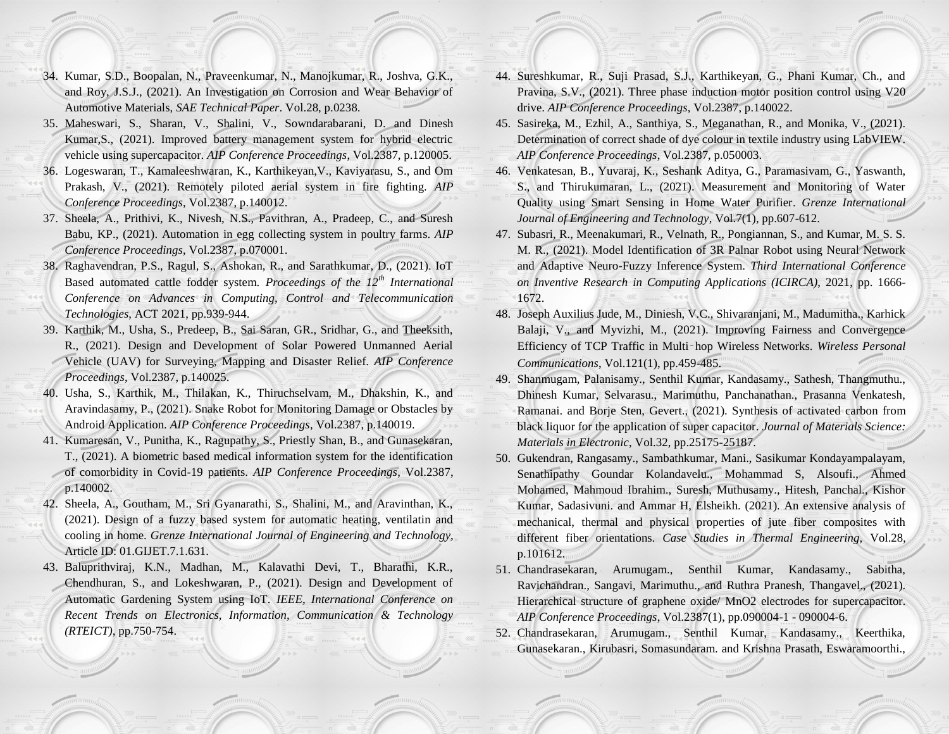- 34. Kumar, S.D., Boopalan, N., Praveenkumar, N., Manojkumar, R., Joshva, G.K., and Roy, J.S.J., (2021). An Investigation on Corrosion and Wear Behavior of Automotive Materials, *SAE Technical Paper*. Vol.28, p.0238.
- 35. Maheswari, S., Sharan, V., Shalini, V., Sowndarabarani, D. and Dinesh Kumar,S., (2021). Improved battery management system for hybrid electric vehicle using supercapacitor. *AIP Conference Proceedings*, Vol.2387, p.120005.
- 36. Logeswaran, T., Kamaleeshwaran, K., Karthikeyan,V., Kaviyarasu, S., and Om Prakash, V., (2021). Remotely piloted aerial system in fire fighting. *AIP Conference Proceedings*, Vol.2387, p.140012.
- 37. Sheela, A., Prithivi, K., Nivesh, N.S., Pavithran, A., Pradeep, C., and Suresh Babu, KP., (2021). Automation in egg collecting system in poultry farms. *AIP Conference Proceedings*, Vol.2387, p.070001.
- 38. Raghavendran, P.S., Ragul, S., Ashokan, R., and Sarathkumar, D., (2021). IoT Based automated cattle fodder system. *Proceedings of the 12th International Conference on Advances in Computing, Control and Telecommunication Technologies*, ACT 2021, pp.939-944.
- 39. Karthik, M., Usha, S., Predeep, B., Sai Saran, GR., Sridhar, G., and Theeksith, R., (2021). Design and Development of Solar Powered Unmanned Aerial Vehicle (UAV) for Surveying, Mapping and Disaster Relief. *AIP Conference Proceedings*, Vol.2387, p.140025.
- 40. Usha, S., Karthik, M., Thilakan, K., Thiruchselvam, M., Dhakshin, K., and Aravindasamy, P., (2021). Snake Robot for Monitoring Damage or Obstacles by Android Application. *AIP Conference Proceedings*, Vol.2387, p.140019.
- 41. Kumaresan, V., Punitha, K., Ragupathy, S., Priestly Shan, B., and Gunasekaran, T., (2021). A biometric based medical information system for the identification of comorbidity in Covid-19 patients. *AIP Conference Proceedings*, Vol.2387, p.140002.
- 42. Sheela, A., Goutham, M., Sri Gyanarathi, S., Shalini, M., and Aravinthan, K., (2021). Design of a fuzzy based system for automatic heating, ventilatin and cooling in home. *Grenze International Journal of Engineering and Technology*, Article ID: 01.GIJET.7.1.631.
- 43. Baluprithviraj, K.N., Madhan, M., Kalavathi Devi, T., Bharathi, K.R., Chendhuran, S., and Lokeshwaran, P., (2021). Design and Development of Automatic Gardening System using IoT. *IEEE, International Conference on Recent Trends on Electronics, Information, Communication & Technology (RTEICT)*, pp.750-754.
- 44. Sureshkumar, R., Suji Prasad, S.J., Karthikeyan, G., Phani Kumar, Ch., and Pravina, S.V., (2021). Three phase induction motor position control using V20 drive. *AIP Conference Proceedings*, Vol.2387, p.140022.
- 45. Sasireka, M., Ezhil, A., Santhiya, S., Meganathan, R., and Monika, V., (2021). Determination of correct shade of dye colour in textile industry using LabVIEW. *AIP Conference Proceedings*, Vol.2387, p.050003.
- 46. Venkatesan, B., Yuvaraj, K., Seshank Aditya, G., Paramasivam, G., Yaswanth, S., and Thirukumaran, L., (2021). Measurement and Monitoring of Water Quality using Smart Sensing in Home Water Purifier. *Grenze International Journal of Engineering and Technology*, Vol.7(1), pp.607-612.
- 47. Subasri, R., Meenakumari, R., Velnath, R., Pongiannan, S., and Kumar, M. S. S. M. R., (2021). Model Identification of 3R Palnar Robot using Neural Network and Adaptive Neuro-Fuzzy Inference System. *Third International Conference on Inventive Research in Computing Applications (ICIRCA)*, 2021, pp. 1666- 1672.
- 48. Joseph Auxilius Jude, M., Diniesh, V.C., Shivaranjani, M., Madumitha., Karhick Balaji, V., and Myvizhi, M., (2021). Improving Fairness and Convergence Efficiency of TCP Traffic in Multi‑hop Wireless Networks. *Wireless Personal Communications*, Vol.121(1), pp.459-485.
- 49. Shanmugam, Palanisamy., Senthil Kumar, Kandasamy., Sathesh, Thangmuthu., Dhinesh Kumar, Selvarasu., Marimuthu, Panchanathan., Prasanna Venkatesh, Ramanai. and Borje Sten, Gevert., (2021). Synthesis of activated carbon from black liquor for the application of super capacitor. *Journal of Materials Science: Materials in Electronic*, Vol.32, pp.25175-25187.
- 50. Gukendran, Rangasamy., Sambathkumar, Mani., Sasikumar Kondayampalayam, Senathipathy Goundar Kolandavelu., Mohammad S, Alsoufi., Ahmed Mohamed, Mahmoud Ibrahim., Suresh, Muthusamy., Hitesh, Panchal., Kishor Kumar, Sadasivuni. and Ammar H, Elsheikh. (2021). An extensive analysis of mechanical, thermal and physical properties of jute fiber composites with different fiber orientations. *Case Studies in Thermal Engineering,* Vol.28, p.101612.
- 51. Chandrasekaran, Arumugam., Senthil Kumar, Kandasamy., Sabitha, Ravichandran., Sangavi, Marimuthu., and Ruthra Pranesh, Thangavel., (2021). Hierarchical structure of graphene oxide/ MnO2 electrodes for supercapacitor. *AIP Conference Proceedings*, Vol.2387(1), pp.090004-1 - 090004-6.
- 52. Chandrasekaran, Arumugam., Senthil Kumar, Kandasamy., Keerthika, Gunasekaran., Kirubasri, Somasundaram. and Krishna Prasath, Eswaramoorthi.,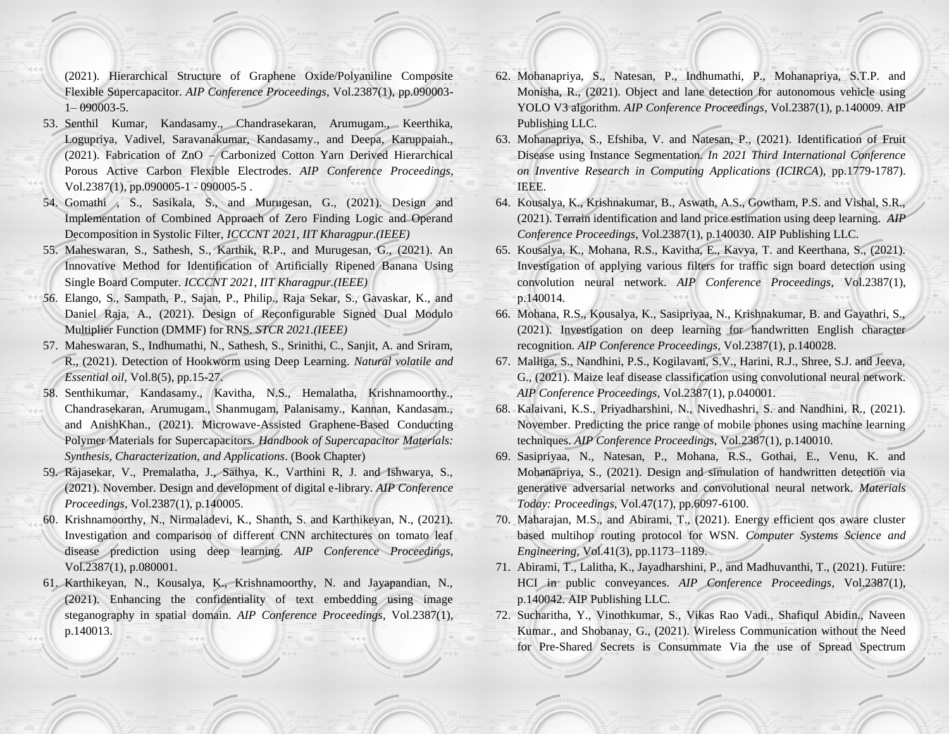(2021). Hierarchical Structure of Graphene Oxide/Polyaniline Composite Flexible Supercapacitor. *AIP Conference Proceedings*, Vol.2387(1), pp.090003- 1– 090003-5.

- 53. Senthil Kumar, Kandasamy., Chandrasekaran, Arumugam., Keerthika, Logupriya, Vadivel, Saravanakumar, Kandasamy., and Deepa, Karuppaiah., (2021). Fabrication of ZnO – Carbonized Cotton Yarn Derived Hierarchical Porous Active Carbon Flexible Electrodes. *AIP Conference Proceedings*, Vol.2387(1), pp.090005-1 - 090005-5 .
- 54. Gomathi , S., Sasikala, S., and Murugesan, G., (2021). Design and Implementation of Combined Approach of Zero Finding Logic and Operand Decomposition in Systolic Filter, *ICCCNT 2021, IIT Kharagpur.(IEEE)*
- 55. Maheswaran, S., Sathesh, S., Karthik, R.P., and Murugesan, G., (2021). An Innovative Method for Identification of Artificially Ripened Banana Using Single Board Computer. *ICCCNT 2021, IIT Kharagpur.(IEEE)*
- *56.* Elango, S., Sampath, P., Sajan, P., Philip., Raja Sekar, S., Gavaskar, K., and Daniel Raja, A., (2021). Design of Reconfigurable Signed Dual Modulo Multiplier Function (DMMF) for RNS. *STCR 2021.(IEEE)*
- 57. Maheswaran, S., Indhumathi, N., Sathesh, S., Srinithi, C., Sanjit, A. and Sriram, R., (2021). Detection of Hookworm using Deep Learning. *Natural volatile and Essential oil*, Vol.8(5), pp.15-27.
- 58. Senthikumar, Kandasamy., Kavitha, N.S., Hemalatha, Krishnamoorthy., Chandrasekaran, Arumugam., Shanmugam, Palanisamy., Kannan, Kandasam., and AnishKhan., (2021). Microwave-Assisted Graphene-Based Conducting Polymer Materials for Supercapacitors. *Handbook of Supercapacitor Materials: Synthesis, Characterization, and Applications*. (Book Chapter)
- 59. Rajasekar, V., Premalatha, J., Sathya, K., Varthini R, J. and Ishwarya, S., (2021). November. Design and development of digital e-library. *AIP Conference Proceedings*, Vol.2387(1), p.140005.
- 60. Krishnamoorthy, N., Nirmaladevi, K., Shanth, S. and Karthikeyan, N., (2021). Investigation and comparison of different CNN architectures on tomato leaf disease prediction using deep learning. *AIP Conference Proceedings*, Vol.2387(1), p.080001.
- 61. Karthikeyan, N., Kousalya, K., Krishnamoorthy, N. and Jayapandian, N., (2021). Enhancing the confidentiality of text embedding using image steganography in spatial domain. *AIP Conference Proceedings*, Vol.2387(1), p.140013.
- 62. Mohanapriya, S., Natesan, P., Indhumathi, P., Mohanapriya, S.T.P. and Monisha, R., (2021). Object and lane detection for autonomous vehicle using YOLO V3 algorithm. *AIP Conference Proceedings*, Vol.2387(1), p.140009. AIP Publishing LLC.
- 63. Mohanapriya, S., Efshiba, V. and Natesan, P., (2021). Identification of Fruit Disease using Instance Segmentation. *In 2021 Third International Conference on Inventive Research in Computing Applications (ICIRCA*), pp.1779-1787). IEEE.
- 64. Kousalya, K., Krishnakumar, B., Aswath, A.S., Gowtham, P.S. and Vishal, S.R., (2021). Terrain identification and land price estimation using deep learning. *AIP Conference Proceedings*, Vol.2387(1), p.140030. AIP Publishing LLC.
- 65. Kousalya, K., Mohana, R.S., Kavitha, E., Kavya, T. and Keerthana, S., (2021). Investigation of applying various filters for traffic sign board detection using convolution neural network. *AIP Conference Proceedings*, Vol.2387(1), p.140014.
- 66. Mohana, R.S., Kousalya, K., Sasipriyaa, N., Krishnakumar, B. and Gayathri, S., (2021). Investigation on deep learning for handwritten English character recognition. *AIP Conference Proceedings*, Vol.2387(1), p.140028.
- 67. Malliga, S., Nandhini, P.S., Kogilavani, S.V., Harini, R.J., Shree, S.J. and Jeeva, G., (2021). Maize leaf disease classification using convolutional neural network. *AIP Conference Proceedings*, Vol.2387(1), p.040001.
- 68. Kalaivani, K.S., Priyadharshini, N., Nivedhashri, S. and Nandhini, R., (2021). November. Predicting the price range of mobile phones using machine learning techniques. *AIP Conference Proceedings*, Vol.2387(1), p.140010.
- 69. Sasipriyaa, N., Natesan, P., Mohana, R.S., Gothai, E., Venu, K. and Mohanapriya, S., (2021). Design and simulation of handwritten detection via generative adversarial networks and convolutional neural network. *Materials Today: Proceedings*, Vol.47(17), pp.6097-6100.
- 70. Maharajan, M.S., and Abirami, T., (2021). Energy efficient qos aware cluster based multihop routing protocol for WSN. *Computer Systems Science and Engineering*, Vol.41(3), pp.1173–1189.
- 71. Abirami, T., Lalitha, K., Jayadharshini, P., and Madhuvanthi, T., (2021). Future: HCI in public conveyances. *AIP Conference Proceedings*, Vol.2387(1), p.140042. AIP Publishing LLC.
- 72. Sucharitha, Y., Vinothkumar, S., Vikas Rao Vadi., Shafiqul Abidin., Naveen Kumar., and Shobanay, G., (2021). Wireless Communication without the Need for Pre-Shared Secrets is Consummate Via the use of Spread Spectrum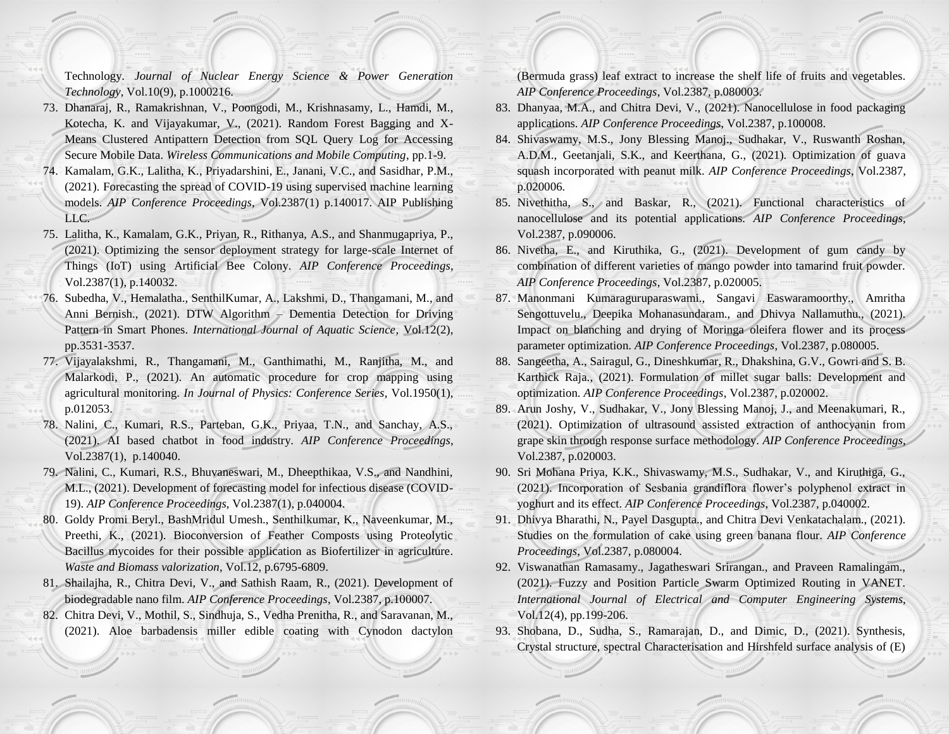Technology. *Journal of Nuclear Energy Science & Power Generation Technology*, Vol.10(9), p.1000216.

- 73. Dhanaraj, R., Ramakrishnan, V., Poongodi, M., Krishnasamy, L., Hamdi, M., Kotecha, K. and Vijayakumar, V., (2021). Random Forest Bagging and X-Means Clustered Antipattern Detection from SQL Query Log for Accessing Secure Mobile Data. *Wireless Communications and Mobile Computing*, pp.1-9.
- 74. Kamalam, G.K., Lalitha, K., Priyadarshini, E., Janani, V.C., and Sasidhar, P.M., (2021). Forecasting the spread of COVID-19 using supervised machine learning models. *AIP Conference Proceedings*, Vol.2387(1) p.140017. AIP Publishing LLC.
- 75. Lalitha, K., Kamalam, G.K., Priyan, R., Rithanya, A.S., and Shanmugapriya, P., (2021). Optimizing the sensor deployment strategy for large-scale Internet of Things (IoT) using Artificial Bee Colony. *AIP Conference Proceedings*, Vol.2387(1), p.140032.
- 76. Subedha, V., Hemalatha., SenthilKumar, A., Lakshmi, D., Thangamani, M., and Anni Bernish., (2021). DTW Algorithm – Dementia Detection for Driving Pattern in Smart Phones. *International Journal of Aquatic Science*, Vol.12(2), pp.3531-3537.
- 77. Vijayalakshmi, R., Thangamani, M., Ganthimathi, M., Ranjitha, M., and Malarkodi, P., (2021). An automatic procedure for crop mapping using agricultural monitoring. *In Journal of Physics: Conference Series*, Vol.1950(1), p.012053.
- 78. Nalini, C., Kumari, R.S., Parteban, G.K., Priyaa, T.N., and Sanchay, A.S., (2021). AI based chatbot in food industry. *AIP Conference Proceedings*, Vol.2387(1), p.140040.
- 79. Nalini, C., Kumari, R.S., Bhuvaneswari, M., Dheepthikaa, V.S., and Nandhini, M.L., (2021). Development of forecasting model for infectious disease (COVID-19). *AIP Conference Proceedings*, Vol.2387(1), p.040004.
- 80. Goldy Promi Beryl., BashMridul Umesh., Senthilkumar, K., Naveenkumar, M., Preethi, K., (2021). Bioconversion of Feather Composts using Proteolytic Bacillus mycoides for their possible application as Biofertilizer in agriculture. *Waste and Biomass valorization*, Vol.12, p.6795-6809.
- 81. Shailajha, R., Chitra Devi, V., and Sathish Raam, R., (2021). Development of biodegradable nano film. *AIP Conference Proceedings*, Vol.2387, p.100007.
- 82. Chitra Devi, V., Mothil, S., Sindhuja, S., Vedha Prenitha, R., and Saravanan, M., (2021). Aloe barbadensis miller edible coating with Cynodon dactylon

(Bermuda grass) leaf extract to increase the shelf life of fruits and vegetables. *AIP Conference Proceedings*, Vol.2387, p.080003.

- 83. Dhanyaa, M.A., and Chitra Devi, V., (2021). Nanocellulose in food packaging applications. *AIP Conference Proceedings*, Vol.2387, p.100008.
- 84. Shivaswamy, M.S., Jony Blessing Manoj., Sudhakar, V., Ruswanth Roshan, A.D.M., Geetanjali, S.K., and Keerthana, G., (2021). Optimization of guava squash incorporated with peanut milk. *AIP Conference Proceedings*, Vol.2387, p.020006.
- 85. Nivethitha, S., and Baskar, R., (2021). Functional characteristics of nanocellulose and its potential applications. *AIP Conference Proceedings*, Vol.2387, p.090006.
- 86. Nivetha, E., and Kiruthika, G., (2021). Development of gum candy by combination of different varieties of mango powder into tamarind fruit powder. *AIP Conference Proceedings*, Vol.2387, p.020005.
- 87. Manonmani Kumaraguruparaswami., Sangavi Easwaramoorthy., Amritha Sengottuvelu., Deepika Mohanasundaram., and Dhivya Nallamuthu., (2021). Impact on blanching and drying of Moringa oleifera flower and its process parameter optimization. *AIP Conference Proceedings*, Vol.2387, p.080005.
- 88. Sangeetha, A., Sairagul, G., Dineshkumar, R., Dhakshina, G.V., Gowri and S. B. Karthick Raja., (2021). Formulation of millet sugar balls: Development and optimization. *AIP Conference Proceedings*, Vol.2387, p.020002.
- 89. Arun Joshy, V., Sudhakar, V., Jony Blessing Manoj, J., and Meenakumari, R., (2021). Optimization of ultrasound assisted extraction of anthocyanin from grape skin through response surface methodology. *AIP Conference Proceedings*, Vol.2387, p.020003.
- 90. Sri Mohana Priya, K.K., Shivaswamy, M.S., Sudhakar, V., and Kiruthiga, G., (2021). Incorporation of Sesbania grandiflora flower's polyphenol extract in yoghurt and its effect. *AIP Conference Proceedings*, Vol.2387, p.040002.
- 91. Dhivya Bharathi, N., Payel Dasgupta., and Chitra Devi Venkatachalam., (2021). Studies on the formulation of cake using green banana flour. *AIP Conference Proceedings*, Vol.2387, p.080004.
- 92. Viswanathan Ramasamy., Jagatheswari Srirangan., and Praveen Ramalingam., (2021). Fuzzy and Position Particle Swarm Optimized Routing in VANET. *International Journal of Electrical and Computer Engineering Systems*, Vol.12(4), pp.199-206.
- 93. Shobana, D., Sudha, S., Ramarajan, D., and Dimic, D., (2021). Synthesis, Crystal structure, spectral Characterisation and Hirshfeld surface analysis of (E)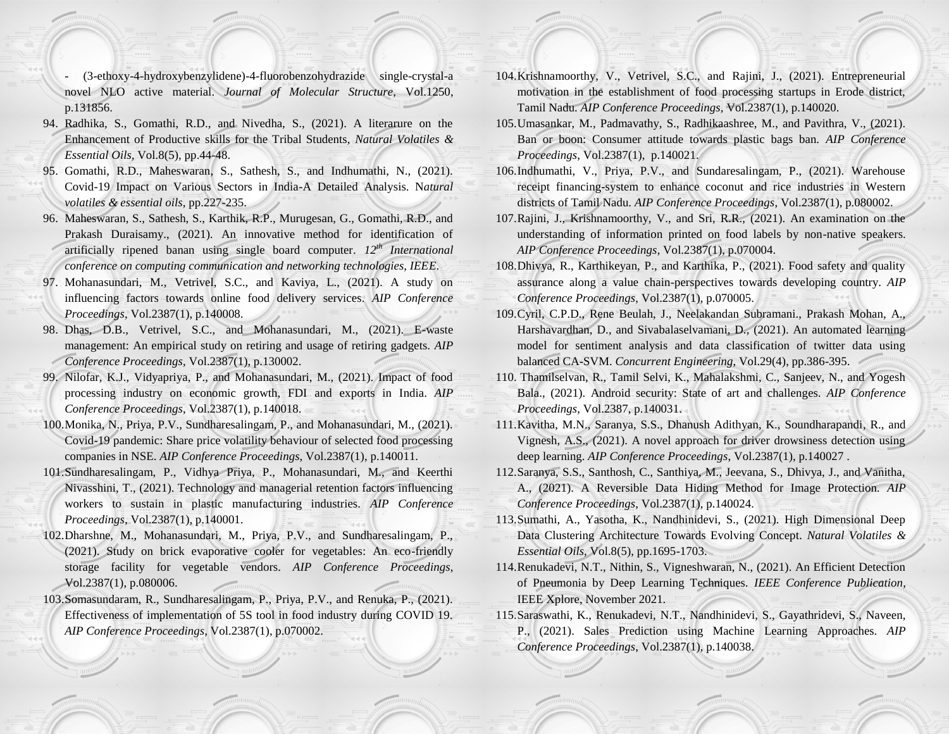- (3-ethoxy-4-hydroxybenzylidene)-4-fluorobenzohydrazide single-crystal-a novel NLO active material. *Journal of Molecular Structure*, Vol.1250, p.131856.
- 94. Radhika, S., Gomathi, R.D., and Nivedha, S., (2021). A literarure on the Enhancement of Productive skills for the Tribal Students, *Natural Volatiles & Essential Oils,* Vol.8(5), pp.44-48.
- 95. Gomathi, R.D., Maheswaran, S., Sathesh, S., and Indhumathi, N., (2021). Covid-19 Impact on Various Sectors in India-A Detailed Analysis. N*atural volatiles & essential oils*, pp.227-235.
- 96. Maheswaran, S., Sathesh, S., Karthik, R.P., Murugesan, G., Gomathi, R.D., and Prakash Duraisamy., (2021). An innovative method for identification of artificially ripened banan using single board computer. *12th International conference on computing communication and networking technologies, IEEE*.
- 97. Mohanasundari, M., Vetrivel, S.C., and Kaviya, L., (2021). A study on influencing factors towards online food delivery services. *AIP Conference Proceedings*, Vol.2387(1), p.140008.
- 98. Dhas, D.B., Vetrivel, S.C., and Mohanasundari, M., (2021). E-waste management: An empirical study on retiring and usage of retiring gadgets. *AIP Conference Proceedings*, Vol.2387(1), p.130002.
- 99. Nilofar, K.J., Vidyapriya, P., and Mohanasundari, M., (2021). Impact of food processing industry on economic growth, FDI and exports in India. *AIP Conference Proceedings*, Vol.2387(1), p.140018.
- 100.Monika, N., Priya, P.V., Sundharesalingam, P., and Mohanasundari, M., (2021). Covid-19 pandemic: Share price volatility behaviour of selected food processing companies in NSE. *AIP Conference Proceedings*, Vol.2387(1), p.140011.
- 101.Sundharesalingam, P., Vidhya Priya, P., Mohanasundari, M., and Keerthi Nivasshini, T., (2021). Technology and managerial retention factors influencing workers to sustain in plastic manufacturing industries. *AIP Conference Proceedings*, Vol.2387(1), p.140001.
- 102.Dharshne, M., Mohanasundari, M., Priya, P.V., and Sundharesalingam, P., (2021). Study on brick evaporative cooler for vegetables: An eco-friendly storage facility for vegetable vendors. *AIP Conference Proceedings*, Vol.2387(1), p.080006.
- 103.Somasundaram, R., Sundharesalingam, P., Priya, P.V., and Renuka, P., (2021). Effectiveness of implementation of 5S tool in food industry during COVID 19. *AIP Conference Proceedings*, Vol.2387(1), p.070002.
- 104.Krishnamoorthy, V., Vetrivel, S.C., and Rajini, J., (2021). Entrepreneurial motivation in the establishment of food processing startups in Erode district, Tamil Nadu. *AIP Conference Proceedings*, Vol.2387(1), p.140020.
- 105.Umasankar, M., Padmavathy, S., Radhikaashree, M., and Pavithra, V., (2021). Ban or boon: Consumer attitude towards plastic bags ban. *AIP Conference Proceedings*, Vol.2387(1), p.140021.
- 106.Indhumathi, V., Priya, P.V., and Sundaresalingam, P., (2021). Warehouse receipt financing-system to enhance coconut and rice industries in Western districts of Tamil Nadu. *AIP Conference Proceedings*, Vol.2387(1), p.080002.
- 107.Rajini, J., Krishnamoorthy, V., and Sri, R.R., (2021). An examination on the understanding of information printed on food labels by non-native speakers. *AIP Conference Proceedings*, Vol.2387(1), p.070004.
- 108.Dhivya, R., Karthikeyan, P., and Karthika, P., (2021). Food safety and quality assurance along a value chain-perspectives towards developing country. *AIP Conference Proceedings*, Vol.2387(1), p.070005.
- 109.Cyril, C.P.D., Rene Beulah, J., Neelakandan Subramani., Prakash Mohan, A., Harshavardhan, D., and Sivabalaselvamani, D., (2021). An automated learning model for sentiment analysis and data classification of twitter data using balanced CA-SVM. *Concurrent Engineering*, Vol.29(4), pp.386-395.
- 110. Thamilselvan, R., Tamil Selvi, K., Mahalakshmi, C., Sanjeev, N., and Yogesh Bala., (2021). Android security: State of art and challenges. *AIP Conference Proceedings*, Vol.2387, p.140031.
- 111.Kavitha, M.N., Saranya, S.S., Dhanush Adithyan, K., Soundharapandi, R., and Vignesh, A.S., (2021). A novel approach for driver drowsiness detection using deep learning. *AIP Conference Proceedings*, Vol.2387(1), p.140027 .
- 112.Saranya, S.S., Santhosh, C., Santhiya, M., Jeevana, S., Dhivya, J., and Vanitha, A., (2021). A Reversible Data Hiding Method for Image Protection. *AIP Conference Proceedings*, Vol.2387(1), p.140024.
- 113.Sumathi, A., Yasotha, K., Nandhinidevi, S., (2021). High Dimensional Deep Data Clustering Architecture Towards Evolving Concept. *Natural Volatiles & Essential Oils*, Vol.8(5), pp.1695-1703.
- 114.Renukadevi, N.T., Nithin, S., Vigneshwaran, N., (2021). An Efficient Detection of Pneumonia by Deep Learning Techniques. *IEEE Conference Publication*, IEEE Xplore, November 2021.
- 115.Saraswathi, K., Renukadevi, N.T., Nandhinidevi, S., Gayathridevi, S., Naveen, P., (2021). Sales Prediction using Machine Learning Approaches. *AIP Conference Proceedings*, Vol.2387(1), p.140038.